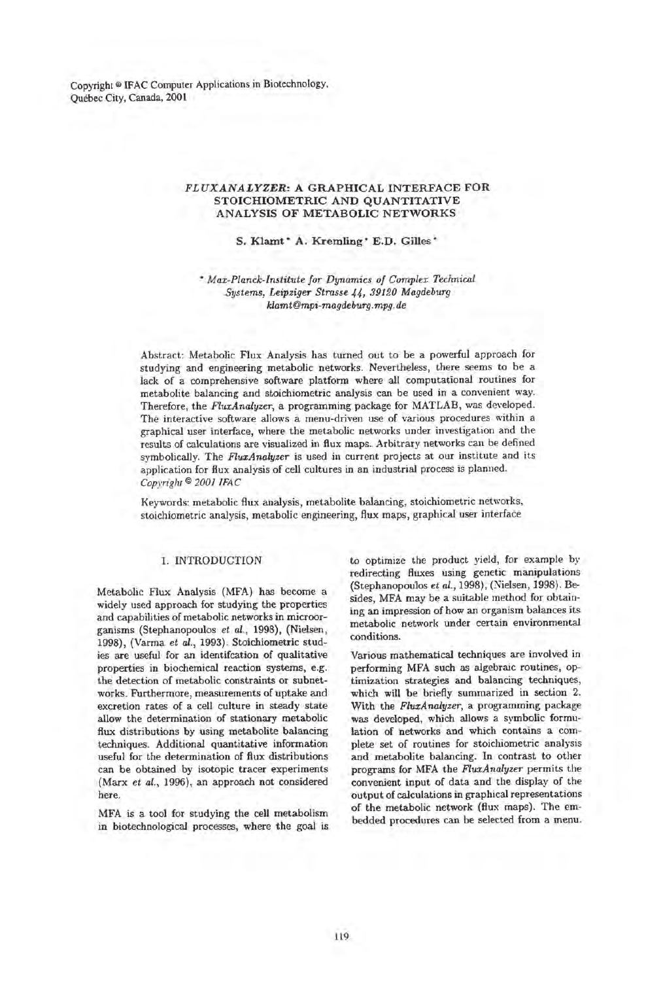Copyright @ lFAC Computer Applications in Biotechnology. Quebec City. Canada. 2001

## FLUXANALYZER: A GRAPHICAL INTERFACE FOR STOICHIOMETRIC AND QUANTITATIVE ANALYSIS OF METABOLIC NETWORKS

# S. Klamt\* A. Kremling\* E.D. Gilles\*

\* *Max-Planck-Institute for Dynamics of Complex Technical Systems, Leipziger Strasse* 44, *39120 Magdeburg klamt@mpi-magdeburg.mpg.de* 

Abstract: Metabolic Flux Analysis has turned out to be a powerful approach for studying and engineering metabolic networks. Nevertheless, there seems to be a lack of a comprehensive software platfonn where all computational routines for metabolite balancing and stoichiometric analysis can be used in a convenient way. Therefore, the *FluxAnalyzer,* a programming package for MATLAB, was developed . The interactive software allows a menu-driven use of various procedures within a graphical user interface, where the metabolic networks under investigation and the results of calculations are visualized in flux maps. Arbitrary networks can be defined symbolically. The *FluxAnalyzer* is used in current projects at our institute and its application for flux analysis of cell cultures in an industrial process is planned. *Copyright* © *2001 IFAC* 

Keywords: metabolic flux analysis, metabolite balancing, stoichiometric networks, stoichiometric analysis, metabolic engineering, flux maps, graphical user interface

### 1. INTRODUCTION

Metabolic Flux Analysis (MFA) has become a widely used approach for studying the properties and capabilities of metabolic networks in microorganisms (Stephanopoulos *et al.,* 1998), (Nielsen, 1998), (Varma *et al.,* 1993). Stoichiometric studies are useful for an identifcation of qualitative properties in biochemical reaction systems, e.g. the detection of metabolic constraints or subnetworks. Furthermore, measurements of uptake and excretion rates of a cell culture in steady state allow the determination of stationary metabolic flux distributions by using metabolite balancing techniques. Additional quantitative information useful for the determination of flux distributions can be obtained by isotopic tracer experiments (Marx *et al.,* 1996), an approach not considered here.

MFA is a tool for studying the cell metabolism in biotechnological processes, where the goal is

to optimize the product yield, for example by redirecting fluxes using genetic manipulations (Stephanopoulos *et al.,* 1998), (Nielsen, 1998). Besides, MFA may be a suitable method for obtaining an impression of how an organism balances its metabolic network under certain environmental conditions.

Various mathematical techniques are involved in performing MFA such as algebraic routines, optimization strategies and balancing techniques, which will be briefly summarized in section 2. With the *FluxAnalyzer,* a programming package was developed, which allows a symbolic formulation of networks and which contains a complete set of routines for stoichiometric analysis and metabolite balancing. In contrast to other programs for MFA the *FluxAnalyzer* permits the convenient input of data and the display of the output of calculations in graphical representations of the metabolic network (flux maps). The embedded procedures can be selected from a menu.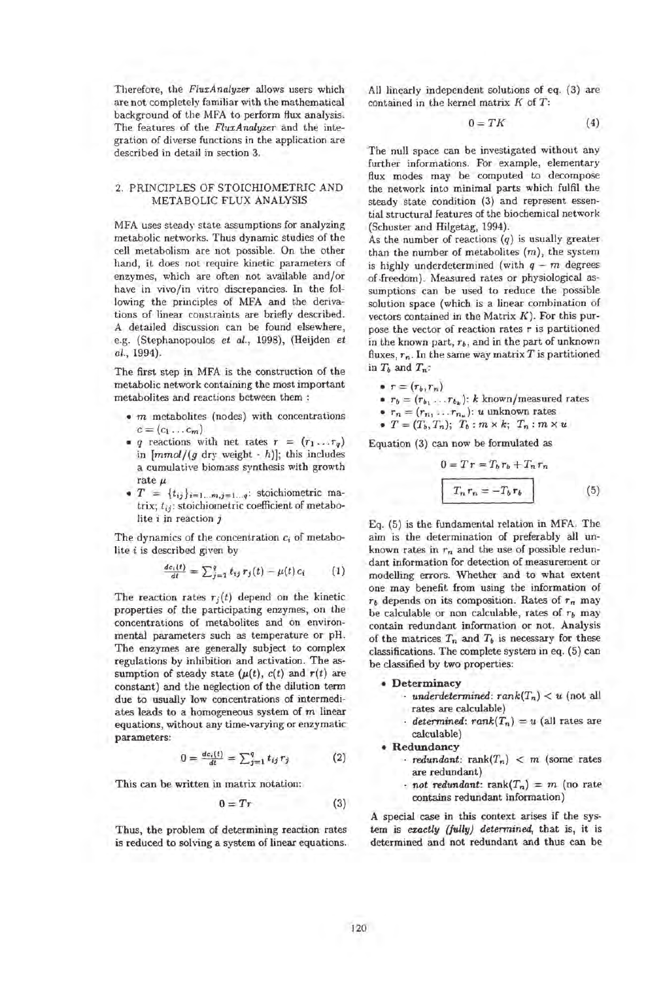Therefore, the *FluxAnalyzer* allows users which are not completely familiar with the mathematical background of the MFA to perform flux analysis. The features of the *FluxAnalyzer* and the integration of diverse functions in the application are described in detail in section 3.

# 2. PRINCIPLES OF STOICHIOMETRIC AND METABOLIC FLUX ANALYSIS

MFA uses steady state assumptions for analyzing metabolic networks. Thus dynamic studies of the cell metabolism are not possible. On the other hand, it does not require kinetic parameters of enzymes, which are often not available and/or have in vivo/in vitro discrepancies. In the following the principles of MFA and the derivations of linear constraints are briefly described. A detailed discussion can be found elsewhere, e.g. (Stephanopoulos *et al.,* 1998), (Heijden *et al.,* 1994).

The first step in MFA is the construction of the metabolic network containing the most important metabolites and reactions between them:

- $\bullet$   $m$  metabolites (nodes) with concentrations  $c = (c_1 \ldots c_m)$
- *q reactions with net rates*  $r = (r_1 \dots r_q)$ in  $[mmol/(g\ dry\ weight - h)];$  this includes a cumulative biomass synthesis with growth rate  $\mu$
- $T = \{t_{ij}\}_{i=1...m, j=1...q}$ : stoichiometric matrix;  $t_{ij}$ : stoichiometric coefficient of metabolite i in reaction j

The dynamics of the concentration  $c_i$  of metabolite *i* is described given by

$$
\frac{dc_i(t)}{dt} = \sum_{j=1}^{q} t_{ij} r_j(t) - \mu(t) c_i \qquad (1)
$$

The reaction rates  $r_j(t)$  depend on the kinetic properties of the participating enzymes, on the concentrations of metabolites and on environmental parameters such as temperature or pH. The enzymes are generally subject to complex regulations by inhibition and activation. The assumption of steady state  $(\mu(t), c(t))$  and  $r(t)$  are constant) and the neglection of the dilution term due to usually low concentrations of intermediates leads to a homogeneous system of m linear equations, without any time-varying or enzymatic parameters:

$$
0 = \frac{dc_i(t)}{dt} = \sum_{j=1}^{q} t_{ij} r_j
$$
 (2)

This can be written in matrix notation:

$$
0 = Tr \tag{3}
$$

Thus, the problem of determining reaction rates is reduced to solving a system of linear equations. All linearly independent solutions of eq. (3) are contained in the kernel matrix K of *T :* 

$$
0 = TK \tag{4}
$$

The null space can be investigated without any further informations. For example, elementary flux modes may be computed to decompose the network into minimal parts which fulfil the steady state condition (3) and represent essential structural features of the biochemical network (Schuster and Hilgetag, 1994).

As the number of reactions  $(q)$  is usually greater than the number of metabolites  $(m)$ , the system is highly underdetermined (with  $q - m$  degrees of .freedom). Measured rates or physiological assumptions can be used to reduce the possible solution space (which is a linear combination of vectors contained in the Matrix  $K$ ). For this purpose the vector of reaction rates *T* is partitioned in the known part, *Tb,* and in the part of unknown fluxes,  $r_n$ . In the same way matrix  $T$  is partitioned in  $T_b$  and  $T_n$ :

$$
\bullet \ \tau = (r_b, r_n)
$$

•  $r_b = (r_{b_1} \ldots r_{b_k})$ : *k* known/measured rates

• 
$$
r_n = (r_{n_1} \ldots r_{n_n})
$$
: u unknown rates

• 
$$
T = (T_b, T_n); T_b : m \times k; T_n : m \times u
$$

Equation (3) can now be formulated as

$$
0 = T r = T_b r_b + T_n r_n
$$
  

$$
T_n r_n = -T_b r_b
$$
 (5)

Eq. (5) is the fundamental relation in MFA. The aim is the determination of preferably all unknown rates in  $r_n$  and the use of possible redundant information for detection of measurement or modelling errors. Whether and to what extent one may benefit from using the information of  $r_b$  depends on its composition. Rates of  $r_n$  may be calculable or non calculable, rates of  $r_b$  may contain redundant information or not. Analysis of the matrices  $T_n$  and  $T_b$  is necessary for these classifications. The complete system in eq. (5) can be classified by two properties:

### • Determinacy

- *underdetermined: rank* $(T_n) < u$  (not all rates are calculable)
- *· determined: rank* $(T_n) = u$  (all rates are calculable)

#### • Redundancy

- *redundant:*  $rank(T_n) < m$  (some rates) are redundant)
- *not redundant:* rank $(T_n) = m$  (no rate contains redundant information)

A special case in this context arises if the system is *exactly (fully) detennined,* that is, it is determined and not redundant and thus can be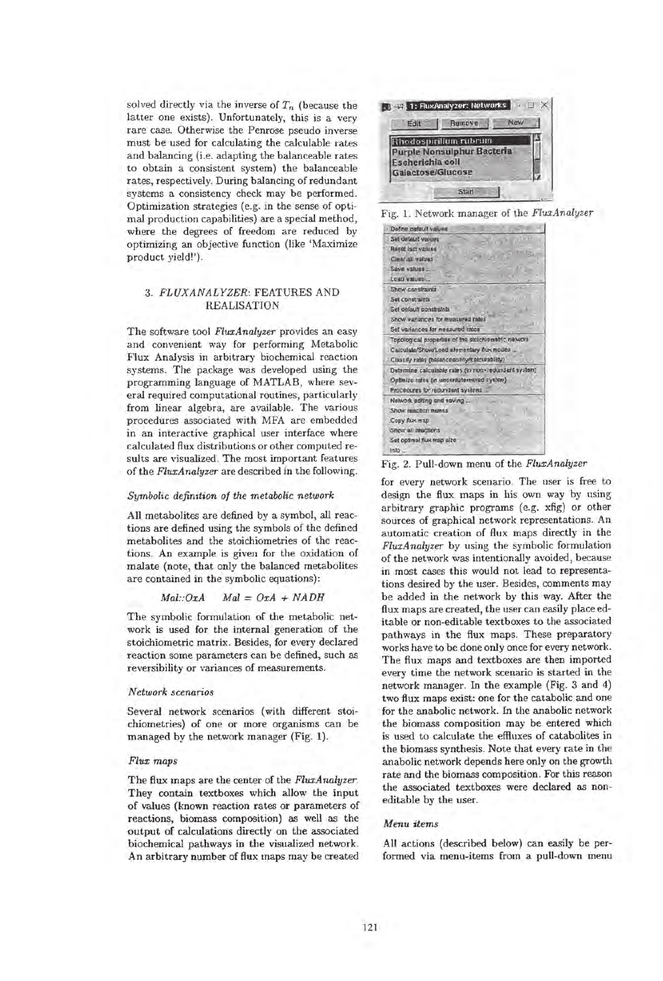solved directly via the inverse of  $T_n$  (because the latter one exists). Unfortunately, this is a very rare case. Otherwise the Penrose pseudo inverse must be used for calculating the calculable rates and balancing (i.e. adapting the balanceable rates to obtain a consistent system) the balanceable rates, respectively. During balancing of redundant systems a consistency check may be performed. Optimization strategies (e.g. in the sense of optimal production capabilities) are a special method, where the degrees of freedom are reduced by optimizing an objective function (like 'Maximize product yield!').

# *3. FLUXANALYZER:* FEATURES AND REALISATION

The software tool *FluxAnalyzer* provides an easy and convenient way for performing Metabolic Flux Analysis in arbitrary biochemical reaction systems. The package was developed using the programming language of MATLAB, where several required computational routines, particularly from linear algebra, are available. The various procedures associated with MFA are embedded in an interactive graphical user interface where calculated flux distributions or other computed results are visualized. The most important features of the *FluxAnalyzer* are described in the following.

# *Symbolic definition of the metabolic network*

All metabolites are defined by a symbol, all reactions are defined using the symbols of the defined metabolites and the stoichiometries of the reactions. An example is given for the oxidation of malate (note, that only the balanced metabolites are contained in the symbolic equations):

$$
Mal::OxA \qquad Mal = OxA + NADH
$$

The symbolic formulation of the metabolic network is used for the internal generation of the stoichiometric matrix. Besides, for every declared reaction some parameters can be defined, such as reversibility or variances of measurements.

#### *Network scenarios*

Several network scenarios (with different stoichiometries) of one or more organisms can be managed by the network manager (Fig. 1).

#### *Flux maps*

The flux maps are the center of the *FluxAnalyzer.*  They contain textboxes which allow the input of values (known reaction rates or parameters of reactions, biomass composition) as well as the output of calculations directly on the associated biochemical pathways in the visualized network. An arbitrary number of flux maps may be created



Fig. L Network manager of the *FluxAnalyzer* 



Fig. 2. Pull-down menu of the *FluxAnalyzer* 

for every network scenario. The user is free to design the flux maps in his own way by using arbitrary graphic programs (e.g. xfig) or other sources of graphical network representations. An automatic creation of flux maps directly in the *FluxA nalyzer* by using the symbolic formulation of the network was intentionally avoided, because in most cases this would not lead to representations desired by the user. Besides, comments may be added in the network by this way. After the flux maps are created, the user can easily place editable or non-editable textboxes to the associated pathways in the flux maps. These preparatory works have to be done only once for every network. The flux maps and textboxes are then imported every time the network scenario is started in the network manager. In the example (Fig. 3 and 4) two flux maps exist: one for the catabolic and one for the anabolic network. In the anabolic network the biomass composition may be entered which is used to calculate the efHuxes of catabolites in the biomass synthesis. Note that every rate in the anabolic network depends here only on the growth rate and the biomass composition. For this reason the associated textboxes were declared as noneditable by the user.

#### *Menu items*

All actions (described below) can easily be performed via menu-items from a pull-down menu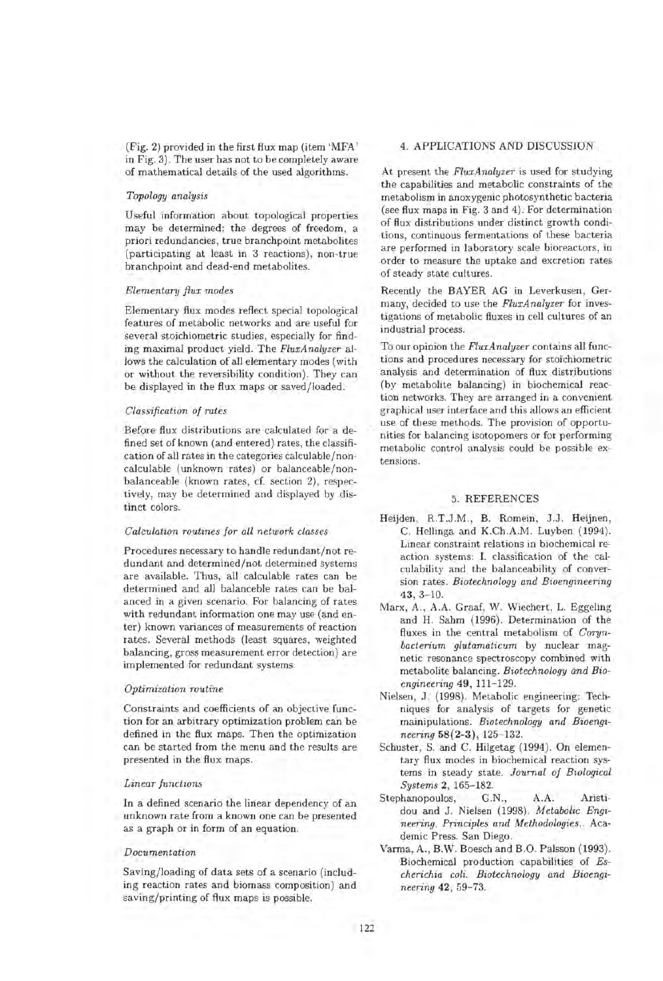(Fig. 2) provided in the first flux map (item 'MFA' in Fig. 3). The user has not to be completely aware of mathematical details of the used algorithms.

### *Topology analysis*

Useful information about topological properties may be determined: the degrees of freedom, a priori redundancies, true branchpoint metabolites (participating at least in 3 reactions), non-true branch point and dead-end metabolites.

## *Elementary flux modes*

Elementary flux modes reflect special topological features of metabolic networks and are useful for several stoichiometric studies, especially for finding maximal product yield. The *FluxAnalyzer* allows the calculation of all elementary modes (with or without the reversibility condition). They can be displayed in the flux maps or saved/loaded.

## *Classification of rates*

Before flux distributions are calculated for a defined set of known (and entered) rates, the classification of all rates in the categories calculable/noncalculable (unknown rates) or balanceable/nonbalanceable (known rates, cf. section 2), respectively, may be determined and displayed by distinct colors.

## *Calculation routines for all network classes*

Procedures necessary to handle redundant/not redundant and determined/not determined systems are available. Thus, all calculable rates can be determined and all balanceble rates can be balanced in a given scenario. For balancing of rates with redundant information one may use (and enter) known variances of measurements of reaction rates. Several methods (least squares, weighted balancing, gross measurement error detection) are implemented for redundant systems.

## *Optimization routine*

Constraints and coefficients of an objective function for an arbitrary optimization problem can be defined in the flux maps. Then the optimization can be started from the menu and the results are presented in the flux maps.

### *Linear functions*

In a defined scenario the linear dependency of an unknown rate from a known one can be presented as a graph or in form of an equation.

#### *Documentation*

Saving/loading of data sets of a scenario (including reaction rates and biomass composition) and saving/printing of flux maps is possible.

# 4. APPLICATIONS AND DISCUSSION

At present the *FluxAnalyzer* is used for studying the capabilities and metabolic constraints of the metabolism in anoxygenic photosynthetic bacteria (see flux maps in Fig. 3 and 4). For determination of flux distributions under distinct growth conditions, continuous fermentations of these bacteria are performed in laboratory scale bioreactors, in order to measure the uptake and excretion rates of steady state cultures.

Recently the BAYER AG in Leverkusen, Germany, decided to use the *FluxA nalyzer* for investigations of metabolic fluxes in cell cultures of an industrial process.

To our opinion the *FluxA nalyzer* contains all functions and procedures necessary for stoichiometric analysis and determination of flux distributions (by metabolite balancing) in biochemical reaction networks. They are arranged in a convenient graphical user interface and this allows an efficient use of these methods. The provision of opportunities for balancing isotopomers or for performing metabolic control analysis could be possible extensions.

## 5. REFERENCES

- Heijden, R.T.J.M., B. Romein, J.J. Heijnen, C. Hellinga and K.Ch.A.M. Luyben (1994). Linear constraint relations in biochemical reaction systems: 1. classification of the calculability and the balanceability of conversion rates. *Biotechnology and Bioengineering*  43, 3- 10.
- Marx, A., A.A. Graaf, W. Wiechert, L. Eggeling and H. Sahm (1996). Determination of the fluxes in the central metabolism of *Corynbacterium glutamaticum* by nuclear magnetic resonance spectroscopy combined with metabolite balancing. *Biotechnology and Bioengineering* 49,111-129.
- Nielsen, J. (1998). Metabolic engineering: Techniques for analysis of targets for genetic mainipulations. *Biotechnology and Bioengineering* 58(2-3),125-132.
- Schuster, S. and C. Hilgetag (1994). On elementary flux modes in biochemical reaction systems in steady state. *Journal of Biological Systems* 2, 165-182.
- Stephanopoulos, G.N., A.A. Aristidou and J. Nielsen (1998). *Metabolic Engineering. Principles and Methodologies ..* Academic Press. San Diego.
- Varma, A., B.W. Boesch and B.O. Palsson (1993). Biochemical production capabilities of *Es*cherichia coli. Biotechnology and Bioengi*neering* 42, 59-73.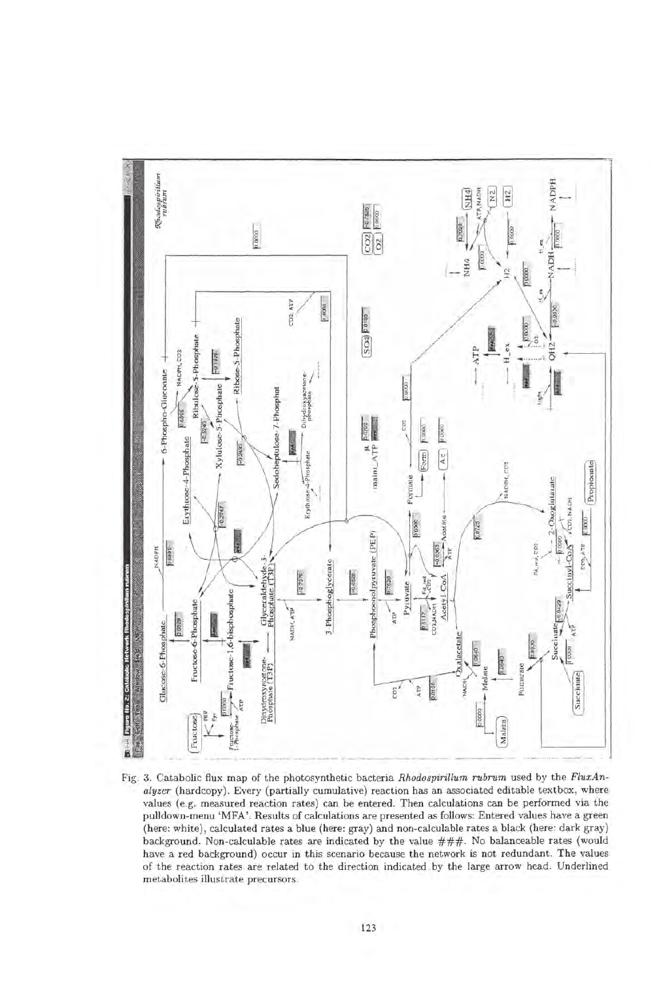

Fig. 3. Catabolic flux map of the photosynthetic bacteria *Rhodospirillum rubrum* used by the *FluxAnalyzer* (hardcopy). Every (partially cumulative) reaction has an associated editable textbox, where values (e.g. measured reaction rates) can be entered. Then calculations can be performed via the pulldown-menu 'MFA'. Results of calculations are presented as follows: Entered values have a green (here: white), calculated rates a blue (here: gray) and non-calculable rates a black (here: dark gray) background. Non-calculable rates are indicated by the value ###. No balanceable rates (would have a red background) occur in this scenario because the network is not redundant. The values of the reaction rates are related to the direction indicated by the large arrow head. Underlined metabolites illustrate precursors.